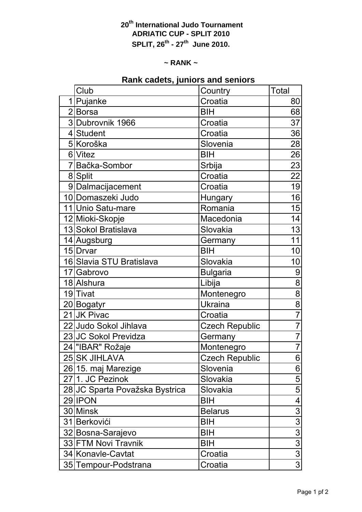## **20th International Judo Tournament ADRIATIC CUP - SPLIT 2010 SPLIT, 26th - 27th June 2010.**

#### **~ RANK ~**

# **Rank cadets, juniors and seniors**

| Club                           | Country               | <b>Total</b>   |
|--------------------------------|-----------------------|----------------|
| 1 Pujanke                      | Croatia               | 80             |
| 2 Borsa                        | BIH                   | 68             |
| 3 Dubrovnik 1966               | Croatia               | 37             |
| 4 Student                      | Croatia               | 36             |
| 5 Koroška                      | Slovenia              | 28             |
| 6 Vitez                        | <b>BIH</b>            | 26             |
| 7 Bačka-Sombor                 | Srbija                | 23             |
| 8 Split                        | Croatia               | 22             |
| 9 Dalmacijacement              | Croatia               | 19             |
| 10 Domaszeki Judo              | Hungary               | 16             |
| 11 Unio Satu-mare              | Romania               | 15             |
| 12 Mioki-Skopje                | Macedonia             | 14             |
| 13 Sokol Bratislava            | Slovakia              | 13             |
| 14 Augsburg                    | Germany               | 11             |
| 15 Drvar                       | <b>BIH</b>            | 10             |
| 16 Slavia STU Bratislava       | Slovakia              | 10             |
| 17 Gabrovo                     | <b>Bulgaria</b>       | 9              |
| 18 Alshura                     | Libija                | $\overline{8}$ |
| 19 Tivat                       | Montenegro            | 8              |
| 20 Bogatyr                     | <b>Ukraina</b>        | 8              |
| 21 JK Pivac                    | Croatia               | $\overline{7}$ |
| 22 Judo Sokol Jihlava          | <b>Czech Republic</b> | $\overline{7}$ |
| 23 JC Sokol Previdza           | Germany               | $\overline{7}$ |
| 24   "IBAR" Rožaje             | Montenegro            | $\overline{7}$ |
| 25 SK JIHLAVA                  | <b>Czech Republic</b> | $\overline{6}$ |
| 26 15. maj Marezige            | Slovenia              | 6              |
| 271. JC Pezinok                | Slovakia              | 5              |
| 28 JC Sparta Považska Bystrica | Slovakia              | 5              |
| 29 IPON                        | BIH                   | 4              |
| 30 Minsk                       | <b>Belarus</b>        | 3              |
| 31 Berkovići                   | BIH                   | $\overline{3}$ |
| 32 Bosna-Sarajevo              | BIH                   | $\overline{3}$ |
| 33 FTM Novi Travnik            | BIH                   | $\overline{3}$ |
| 34 Konavle-Cavtat              | Croatia               | $\overline{3}$ |
| 35 Tempour-Podstrana           | Croatia               | $\overline{3}$ |